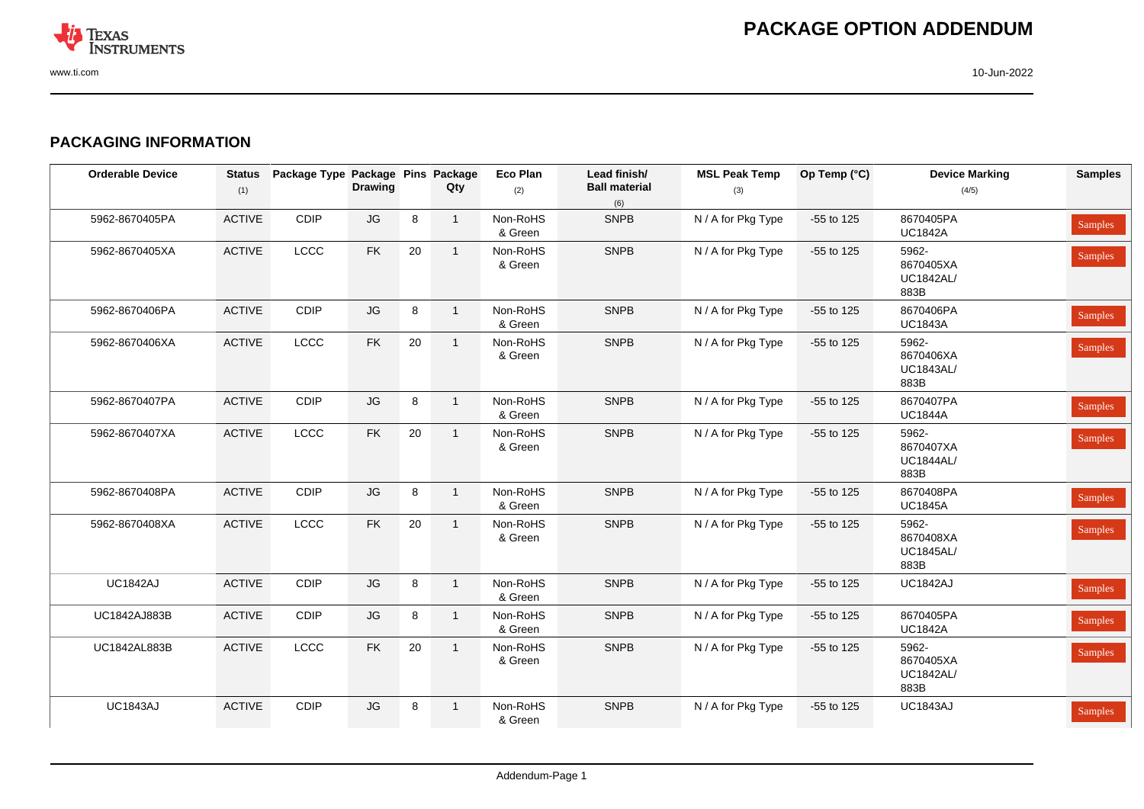

### **PACKAGING INFORMATION**

| <b>Orderable Device</b> | <b>Status</b><br>(1) | Package Type Package Pins Package | <b>Drawing</b>         |        | Qty            | <b>Eco Plan</b><br>(2) | Lead finish/<br><b>Ball material</b><br>(6) | <b>MSL Peak Temp</b><br>(3) | Op Temp (°C) | <b>Device Marking</b><br>(4/5)                 | <b>Samples</b> |
|-------------------------|----------------------|-----------------------------------|------------------------|--------|----------------|------------------------|---------------------------------------------|-----------------------------|--------------|------------------------------------------------|----------------|
| 5962-8670405PA          | <b>ACTIVE</b>        | CDIP                              | $\mathsf{J}\mathsf{G}$ | 8      | $\mathbf{1}$   | Non-RoHS<br>& Green    | <b>SNPB</b>                                 | N / A for Pkg Type          | -55 to 125   | 8670405PA<br><b>UC1842A</b>                    | Samples        |
| 5962-8670405XA          | ACTIVE               | LCCC                              | ${\sf FK}$             | 20     | $\overline{1}$ | Non-RoHS<br>& Green    | <b>SNPB</b>                                 | N / A for Pkg Type          | -55 to 125   | 5962-<br>8670405XA<br><b>UC1842AL/</b><br>883B | Samples        |
| 5962-8670406PA          | <b>ACTIVE</b>        | CDIP                              | $\mathsf{J}\mathsf{G}$ | 8      | $\overline{1}$ | Non-RoHS<br>& Green    | <b>SNPB</b>                                 | N / A for Pkg Type          | -55 to 125   | 8670406PA<br><b>UC1843A</b>                    | Samples        |
| 5962-8670406XA          | <b>ACTIVE</b>        | LCCC                              | <b>FK</b>              | 20     | $\overline{1}$ | Non-RoHS<br>& Green    | <b>SNPB</b>                                 | N / A for Pkg Type          | -55 to 125   | 5962-<br>8670406XA<br><b>UC1843AL/</b><br>883B | Samples        |
| 5962-8670407PA          | <b>ACTIVE</b>        | CDIP                              | JG                     | 8      | $\overline{1}$ | Non-RoHS<br>& Green    | <b>SNPB</b>                                 | N / A for Pkg Type          | -55 to 125   | 8670407PA<br><b>UC1844A</b>                    | Samples        |
| 5962-8670407XA          | <b>ACTIVE</b>        | <b>LCCC</b>                       | <b>FK</b>              | 20     | $\overline{1}$ | Non-RoHS<br>& Green    | <b>SNPB</b>                                 | N / A for Pkg Type          | -55 to 125   | 5962-<br>8670407XA<br><b>UC1844AL/</b><br>883B | Samples        |
| 5962-8670408PA          | <b>ACTIVE</b>        | CDIP                              | $\mathsf{J}\mathsf{G}$ | $\bf8$ | $\overline{1}$ | Non-RoHS<br>& Green    | <b>SNPB</b>                                 | N / A for Pkg Type          | -55 to 125   | 8670408PA<br><b>UC1845A</b>                    | Samples        |
| 5962-8670408XA          | <b>ACTIVE</b>        | LCCC                              | <b>FK</b>              | 20     | $\overline{1}$ | Non-RoHS<br>& Green    | <b>SNPB</b>                                 | N / A for Pkg Type          | -55 to 125   | 5962-<br>8670408XA<br><b>UC1845AL/</b><br>883B | Samples        |
| <b>UC1842AJ</b>         | <b>ACTIVE</b>        | CDIP                              | $\mathsf{J}\mathsf{G}$ | 8      | $\overline{1}$ | Non-RoHS<br>& Green    | <b>SNPB</b>                                 | N / A for Pkg Type          | -55 to 125   | <b>UC1842AJ</b>                                | Samples        |
| UC1842AJ883B            | <b>ACTIVE</b>        | CDIP                              | $\mathsf{J}\mathsf{G}$ | 8      | $\overline{1}$ | Non-RoHS<br>& Green    | <b>SNPB</b>                                 | N / A for Pkg Type          | -55 to 125   | 8670405PA<br><b>UC1842A</b>                    | Samples        |
| UC1842AL883B            | ACTIVE               | LCCC                              | ${\sf FK}$             | 20     | $\overline{1}$ | Non-RoHS<br>& Green    | <b>SNPB</b>                                 | N / A for Pkg Type          | -55 to 125   | 5962-<br>8670405XA<br><b>UC1842AL/</b><br>883B | Samples        |
| <b>UC1843AJ</b>         | <b>ACTIVE</b>        | CDIP                              | JG                     | 8      | $\overline{1}$ | Non-RoHS<br>& Green    | <b>SNPB</b>                                 | N / A for Pkg Type          | -55 to 125   | <b>UC1843AJ</b>                                | Samples        |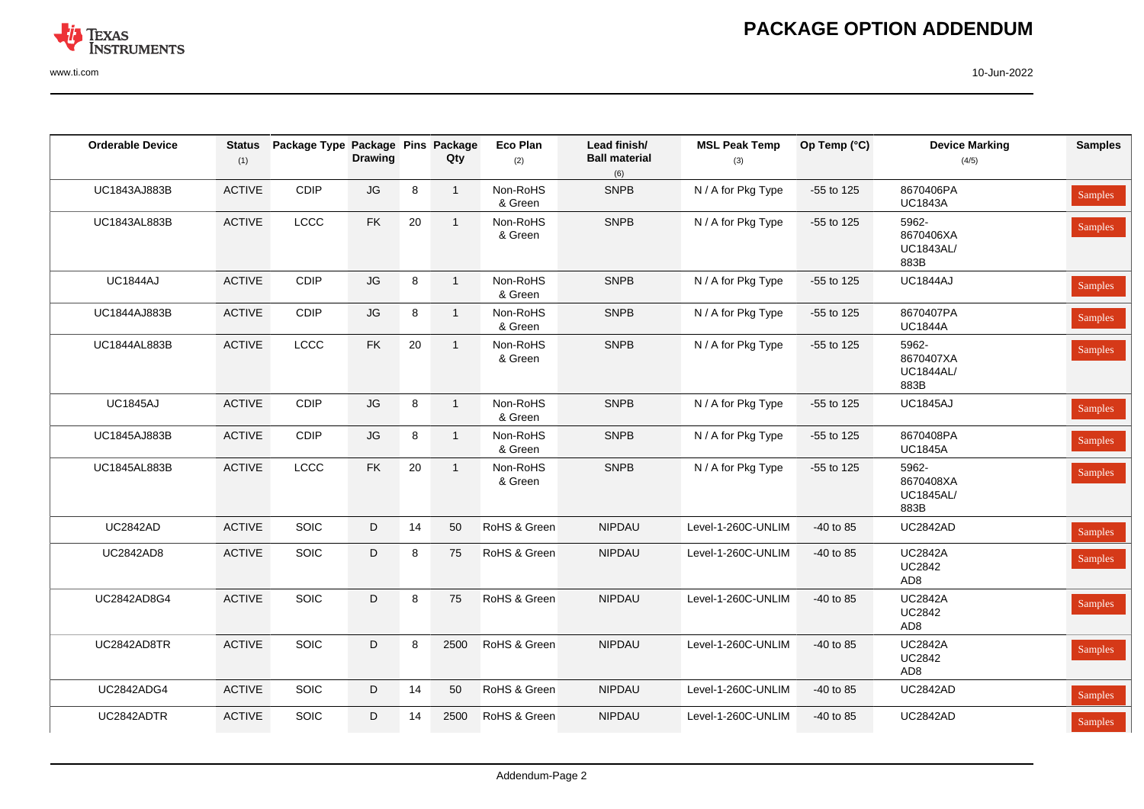

# **PACKAGE OPTION ADDENDUM**

www.ti.com 10-Jun-2022

| <b>Orderable Device</b> | <b>Status</b> | Package Type Package Pins Package |                        |    |                | <b>Eco Plan</b>     | Lead finish/                | <b>MSL Peak Temp</b> | Op Temp (°C) | <b>Device Marking</b>                              | <b>Samples</b> |
|-------------------------|---------------|-----------------------------------|------------------------|----|----------------|---------------------|-----------------------------|----------------------|--------------|----------------------------------------------------|----------------|
|                         | (1)           |                                   | <b>Drawing</b>         |    | Qty            | (2)                 | <b>Ball material</b><br>(6) | (3)                  |              | (4/5)                                              |                |
| UC1843AJ883B            | <b>ACTIVE</b> | CDIP                              | $\mathsf{J}\mathsf{G}$ | 8  | $\overline{1}$ | Non-RoHS<br>& Green | <b>SNPB</b>                 | N / A for Pkg Type   | -55 to 125   | 8670406PA<br><b>UC1843A</b>                        | Samples        |
| UC1843AL883B            | <b>ACTIVE</b> | LCCC                              | ${\sf FK}$             | 20 | $\mathbf{1}$   | Non-RoHS<br>& Green | <b>SNPB</b>                 | N / A for Pkg Type   | -55 to 125   | 5962-<br>8670406XA<br><b>UC1843AL/</b><br>883B     | Samples        |
| <b>UC1844AJ</b>         | <b>ACTIVE</b> | CDIP                              | $\mathsf{J}\mathsf{G}$ | 8  | $\overline{1}$ | Non-RoHS<br>& Green | <b>SNPB</b>                 | N / A for Pkg Type   | -55 to 125   | <b>UC1844AJ</b>                                    | Samples        |
| UC1844AJ883B            | <b>ACTIVE</b> | CDIP                              | $\mathsf{J}\mathsf{G}$ | 8  | $\overline{1}$ | Non-RoHS<br>& Green | <b>SNPB</b>                 | N / A for Pkg Type   | -55 to 125   | 8670407PA<br><b>UC1844A</b>                        | Samples        |
| UC1844AL883B            | <b>ACTIVE</b> | LCCC                              | ${\sf FK}$             | 20 | $\overline{1}$ | Non-RoHS<br>& Green | <b>SNPB</b>                 | N / A for Pkg Type   | -55 to 125   | 5962-<br>8670407XA<br><b>UC1844AL/</b><br>883B     | Samples        |
| <b>UC1845AJ</b>         | <b>ACTIVE</b> | CDIP                              | $\mathsf{J}\mathsf{G}$ | 8  | $\overline{1}$ | Non-RoHS<br>& Green | <b>SNPB</b>                 | N / A for Pkg Type   | -55 to 125   | <b>UC1845AJ</b>                                    | Samples        |
| <b>UC1845AJ883B</b>     | <b>ACTIVE</b> | CDIP                              | JG                     | 8  | $\overline{1}$ | Non-RoHS<br>& Green | <b>SNPB</b>                 | N / A for Pkg Type   | $-55$ to 125 | 8670408PA<br><b>UC1845A</b>                        | Samples        |
| UC1845AL883B            | <b>ACTIVE</b> | LCCC                              | ${\sf FK}$             | 20 | $\overline{1}$ | Non-RoHS<br>& Green | <b>SNPB</b>                 | N / A for Pkg Type   | -55 to 125   | 5962-<br>8670408XA<br><b>UC1845AL/</b><br>883B     | Samples        |
| <b>UC2842AD</b>         | <b>ACTIVE</b> | SOIC                              | D                      | 14 | 50             | RoHS & Green        | NIPDAU                      | Level-1-260C-UNLIM   | -40 to 85    | <b>UC2842AD</b>                                    | Samples        |
| <b>UC2842AD8</b>        | <b>ACTIVE</b> | SOIC                              | D                      | 8  | 75             | RoHS & Green        | NIPDAU                      | Level-1-260C-UNLIM   | $-40$ to 85  | <b>UC2842A</b><br><b>UC2842</b><br>AD <sub>8</sub> | Samples        |
| UC2842AD8G4             | ACTIVE        | SOIC                              | D                      | 8  | 75             | RoHS & Green        | <b>NIPDAU</b>               | Level-1-260C-UNLIM   | -40 to 85    | <b>UC2842A</b><br><b>UC2842</b><br>AD <sub>8</sub> | Samples        |
| UC2842AD8TR             | <b>ACTIVE</b> | SOIC                              | D                      | 8  | 2500           | RoHS & Green        | NIPDAU                      | Level-1-260C-UNLIM   | -40 to 85    | <b>UC2842A</b><br><b>UC2842</b><br>AD <sub>8</sub> | Samples        |
| <b>UC2842ADG4</b>       | <b>ACTIVE</b> | SOIC                              | D                      | 14 | 50             | RoHS & Green        | NIPDAU                      | Level-1-260C-UNLIM   | -40 to 85    | <b>UC2842AD</b>                                    | Samples        |
| UC2842ADTR              | <b>ACTIVE</b> | <b>SOIC</b>                       | D                      | 14 | 2500           | RoHS & Green        | <b>NIPDAU</b>               | Level-1-260C-UNLIM   | $-40$ to 85  | <b>UC2842AD</b>                                    | Samples        |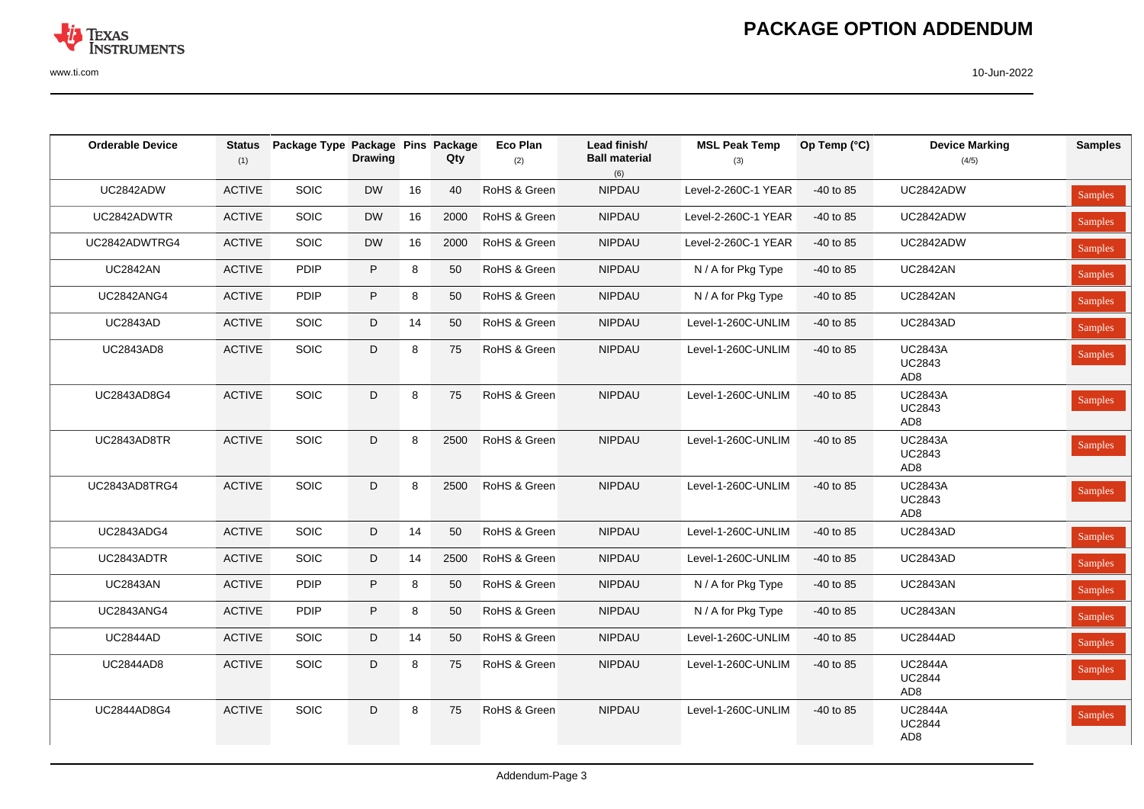

| <b>Orderable Device</b> | <b>Status</b><br>(1) | Package Type Package Pins Package | <b>Drawing</b> |    | Qty  | Eco Plan<br>(2) | Lead finish/<br><b>Ball material</b><br>(6) | <b>MSL Peak Temp</b><br>(3) | Op Temp $(^{\circ}C)$ | <b>Device Marking</b><br>(4/5)                     | <b>Samples</b> |
|-------------------------|----------------------|-----------------------------------|----------------|----|------|-----------------|---------------------------------------------|-----------------------------|-----------------------|----------------------------------------------------|----------------|
| UC2842ADW               | <b>ACTIVE</b>        | SOIC                              | <b>DW</b>      | 16 | 40   | RoHS & Green    | NIPDAU                                      | Level-2-260C-1 YEAR         | -40 to 85             | UC2842ADW                                          | Samples        |
| UC2842ADWTR             | <b>ACTIVE</b>        | SOIC                              | <b>DW</b>      | 16 | 2000 | RoHS & Green    | NIPDAU                                      | Level-2-260C-1 YEAR         | $-40$ to 85           | UC2842ADW                                          | Samples        |
| UC2842ADWTRG4           | <b>ACTIVE</b>        | <b>SOIC</b>                       | <b>DW</b>      | 16 | 2000 | RoHS & Green    | <b>NIPDAU</b>                               | Level-2-260C-1 YEAR         | $-40$ to 85           | UC2842ADW                                          | Samples        |
| <b>UC2842AN</b>         | <b>ACTIVE</b>        | <b>PDIP</b>                       | P              | 8  | 50   | RoHS & Green    | <b>NIPDAU</b>                               | N / A for Pkg Type          | $-40$ to 85           | <b>UC2842AN</b>                                    | Samples        |
| <b>UC2842ANG4</b>       | <b>ACTIVE</b>        | <b>PDIP</b>                       | P              | 8  | 50   | RoHS & Green    | <b>NIPDAU</b>                               | N / A for Pkg Type          | $-40$ to 85           | <b>UC2842AN</b>                                    | Samples        |
| <b>UC2843AD</b>         | <b>ACTIVE</b>        | SOIC                              | D              | 14 | 50   | RoHS & Green    | NIPDAU                                      | Level-1-260C-UNLIM          | $-40$ to 85           | <b>UC2843AD</b>                                    | Samples        |
| <b>UC2843AD8</b>        | <b>ACTIVE</b>        | <b>SOIC</b>                       | D              | 8  | 75   | RoHS & Green    | <b>NIPDAU</b>                               | Level-1-260C-UNLIM          | $-40$ to 85           | <b>UC2843A</b><br><b>UC2843</b><br>AD <sub>8</sub> | Samples        |
| UC2843AD8G4             | <b>ACTIVE</b>        | SOIC                              | D              | 8  | 75   | RoHS & Green    | NIPDAU                                      | Level-1-260C-UNLIM          | $-40$ to 85           | <b>UC2843A</b><br><b>UC2843</b><br>AD <sub>8</sub> | Samples        |
| UC2843AD8TR             | <b>ACTIVE</b>        | SOIC                              | D              | 8  | 2500 | RoHS & Green    | <b>NIPDAU</b>                               | Level-1-260C-UNLIM          | $-40$ to 85           | <b>UC2843A</b><br><b>UC2843</b><br>AD <sub>8</sub> | Samples        |
| UC2843AD8TRG4           | <b>ACTIVE</b>        | SOIC                              | D              | 8  | 2500 | RoHS & Green    | NIPDAU                                      | Level-1-260C-UNLIM          | $-40$ to 85           | <b>UC2843A</b><br><b>UC2843</b><br>AD <sub>8</sub> | Samples        |
| <b>UC2843ADG4</b>       | <b>ACTIVE</b>        | SOIC                              | D              | 14 | 50   | RoHS & Green    | NIPDAU                                      | Level-1-260C-UNLIM          | $-40$ to 85           | <b>UC2843AD</b>                                    | Samples        |
| UC2843ADTR              | <b>ACTIVE</b>        | <b>SOIC</b>                       | D              | 14 | 2500 | RoHS & Green    | <b>NIPDAU</b>                               | Level-1-260C-UNLIM          | $-40$ to 85           | <b>UC2843AD</b>                                    | Samples        |
| <b>UC2843AN</b>         | <b>ACTIVE</b>        | PDIP                              | P              | 8  | 50   | RoHS & Green    | NIPDAU                                      | N / A for Pkg Type          | -40 to 85             | <b>UC2843AN</b>                                    | Samples        |
| <b>UC2843ANG4</b>       | <b>ACTIVE</b>        | <b>PDIP</b>                       | P              | 8  | 50   | RoHS & Green    | <b>NIPDAU</b>                               | N / A for Pkg Type          | $-40$ to 85           | <b>UC2843AN</b>                                    | Samples        |
| <b>UC2844AD</b>         | <b>ACTIVE</b>        | <b>SOIC</b>                       | D              | 14 | 50   | RoHS & Green    | <b>NIPDAU</b>                               | Level-1-260C-UNLIM          | $-40$ to 85           | <b>UC2844AD</b>                                    | Samples        |
| <b>UC2844AD8</b>        | <b>ACTIVE</b>        | <b>SOIC</b>                       | D              | 8  | 75   | RoHS & Green    | <b>NIPDAU</b>                               | Level-1-260C-UNLIM          | $-40$ to 85           | <b>UC2844A</b><br><b>UC2844</b><br>AD <sub>8</sub> | Samples        |
| <b>UC2844AD8G4</b>      | <b>ACTIVE</b>        | SOIC                              | D              | 8  | 75   | RoHS & Green    | <b>NIPDAU</b>                               | Level-1-260C-UNLIM          | $-40$ to 85           | <b>UC2844A</b><br><b>UC2844</b><br>AD <sub>8</sub> | Samples        |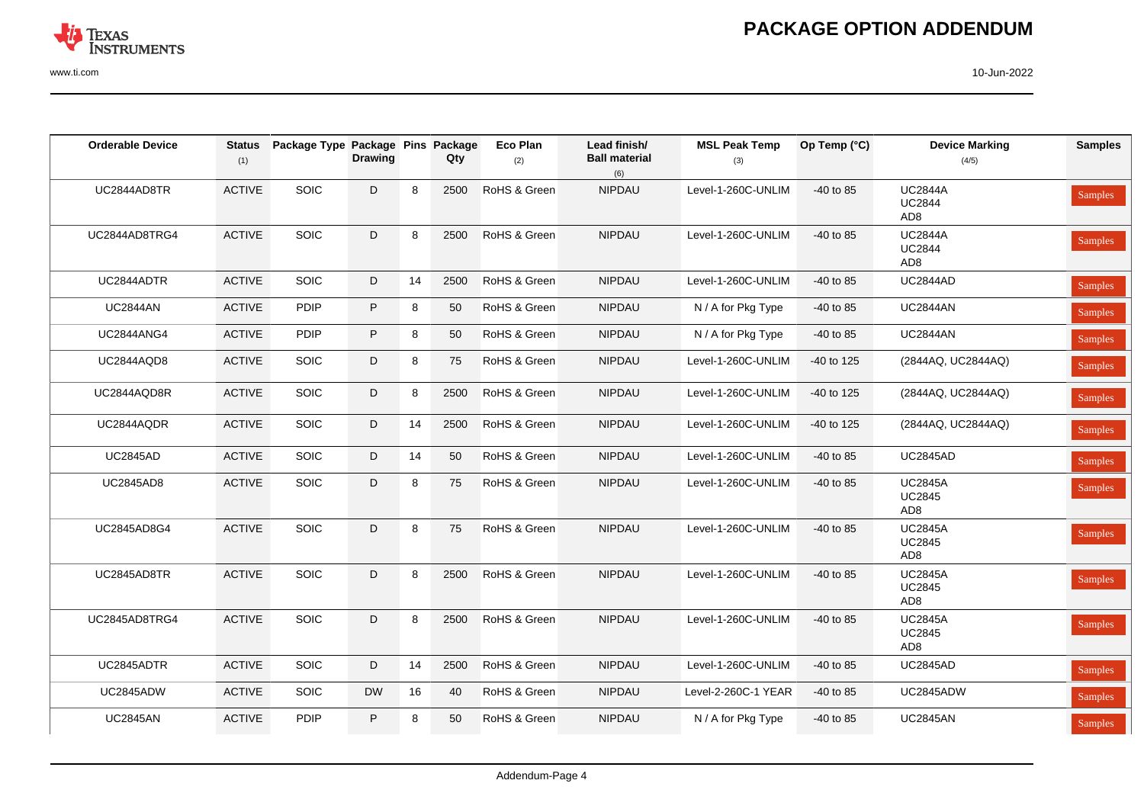

| <b>Orderable Device</b> | <b>Status</b><br>(1) | Package Type Package Pins Package | <b>Drawing</b> |    | Qty  | <b>Eco Plan</b><br>(2) | Lead finish/<br><b>Ball material</b><br>(6) | <b>MSL Peak Temp</b><br>(3) | Op Temp (°C) | <b>Device Marking</b><br>(4/5)                     | <b>Samples</b> |
|-------------------------|----------------------|-----------------------------------|----------------|----|------|------------------------|---------------------------------------------|-----------------------------|--------------|----------------------------------------------------|----------------|
| UC2844AD8TR             | <b>ACTIVE</b>        | SOIC                              | D              | 8  | 2500 | RoHS & Green           | <b>NIPDAU</b>                               | Level-1-260C-UNLIM          | $-40$ to 85  | <b>UC2844A</b><br><b>UC2844</b><br>AD <sub>8</sub> | Samples        |
| UC2844AD8TRG4           | <b>ACTIVE</b>        | SOIC                              | D              | 8  | 2500 | RoHS & Green           | NIPDAU                                      | Level-1-260C-UNLIM          | -40 to 85    | <b>UC2844A</b><br><b>UC2844</b><br>AD <sub>8</sub> | Samples        |
| UC2844ADTR              | <b>ACTIVE</b>        | SOIC                              | D              | 14 | 2500 | RoHS & Green           | NIPDAU                                      | Level-1-260C-UNLIM          | -40 to 85    | <b>UC2844AD</b>                                    | Samples        |
| <b>UC2844AN</b>         | <b>ACTIVE</b>        | <b>PDIP</b>                       | $\sf P$        | 8  | 50   | RoHS & Green           | <b>NIPDAU</b>                               | N / A for Pkg Type          | -40 to 85    | <b>UC2844AN</b>                                    | Samples        |
| <b>UC2844ANG4</b>       | <b>ACTIVE</b>        | <b>PDIP</b>                       | P              | 8  | 50   | RoHS & Green           | <b>NIPDAU</b>                               | N / A for Pkg Type          | -40 to 85    | <b>UC2844AN</b>                                    | Samples        |
| <b>UC2844AQD8</b>       | <b>ACTIVE</b>        | SOIC                              | D              | 8  | 75   | RoHS & Green           | <b>NIPDAU</b>                               | Level-1-260C-UNLIM          | $-40$ to 125 | (2844AQ, UC2844AQ)                                 | Samples        |
| UC2844AQD8R             | <b>ACTIVE</b>        | SOIC                              | $\mathsf D$    | 8  | 2500 | RoHS & Green           | NIPDAU                                      | Level-1-260C-UNLIM          | -40 to 125   | (2844AQ, UC2844AQ)                                 | Samples        |
| UC2844AQDR              | <b>ACTIVE</b>        | SOIC                              | D              | 14 | 2500 | RoHS & Green           | <b>NIPDAU</b>                               | Level-1-260C-UNLIM          | -40 to 125   | (2844AQ, UC2844AQ)                                 | Samples        |
| <b>UC2845AD</b>         | <b>ACTIVE</b>        | SOIC                              | D              | 14 | 50   | RoHS & Green           | NIPDAU                                      | Level-1-260C-UNLIM          | -40 to 85    | <b>UC2845AD</b>                                    | Samples        |
| <b>UC2845AD8</b>        | <b>ACTIVE</b>        | SOIC                              | D              | 8  | 75   | RoHS & Green           | <b>NIPDAU</b>                               | Level-1-260C-UNLIM          | -40 to 85    | <b>UC2845A</b><br><b>UC2845</b><br>AD <sub>8</sub> | Samples        |
| UC2845AD8G4             | <b>ACTIVE</b>        | SOIC                              | D              | 8  | 75   | RoHS & Green           | NIPDAU                                      | Level-1-260C-UNLIM          | -40 to 85    | <b>UC2845A</b><br><b>UC2845</b><br>AD <sub>8</sub> | Samples        |
| UC2845AD8TR             | <b>ACTIVE</b>        | SOIC                              | D              | 8  | 2500 | RoHS & Green           | NIPDAU                                      | Level-1-260C-UNLIM          | -40 to 85    | <b>UC2845A</b><br><b>UC2845</b><br>AD <sub>8</sub> | Samples        |
| UC2845AD8TRG4           | <b>ACTIVE</b>        | SOIC                              | D              | 8  | 2500 | RoHS & Green           | <b>NIPDAU</b>                               | Level-1-260C-UNLIM          | -40 to 85    | <b>UC2845A</b><br><b>UC2845</b><br>AD <sub>8</sub> | Samples        |
| UC2845ADTR              | <b>ACTIVE</b>        | SOIC                              | D              | 14 | 2500 | RoHS & Green           | <b>NIPDAU</b>                               | Level-1-260C-UNLIM          | -40 to 85    | <b>UC2845AD</b>                                    | Samples        |
| UC2845ADW               | <b>ACTIVE</b>        | SOIC                              | <b>DW</b>      | 16 | 40   | RoHS & Green           | <b>NIPDAU</b>                               | Level-2-260C-1 YEAR         | -40 to 85    | UC2845ADW                                          | Samples        |
| <b>UC2845AN</b>         | <b>ACTIVE</b>        | <b>PDIP</b>                       | P              | 8  | 50   | RoHS & Green           | <b>NIPDAU</b>                               | N / A for Pkg Type          | -40 to 85    | <b>UC2845AN</b>                                    | Samples        |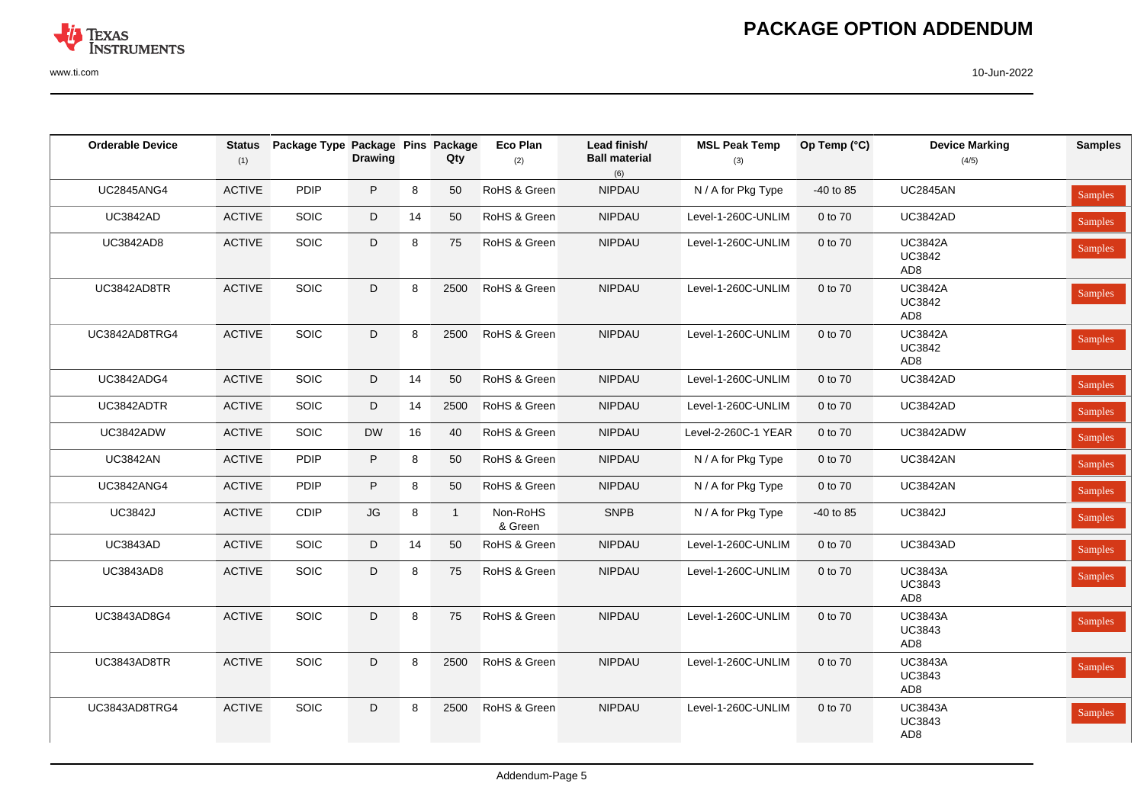

| <b>Orderable Device</b> | Status<br>(1) | Package Type Package Pins Package | <b>Drawing</b>         |    | Qty          | <b>Eco Plan</b><br>(2) | Lead finish/<br><b>Ball material</b><br>(6) | <b>MSL Peak Temp</b><br>(3) | Op Temp (°C) | <b>Device Marking</b><br>(4/5)                     | <b>Samples</b> |
|-------------------------|---------------|-----------------------------------|------------------------|----|--------------|------------------------|---------------------------------------------|-----------------------------|--------------|----------------------------------------------------|----------------|
| <b>UC2845ANG4</b>       | <b>ACTIVE</b> | PDIP                              | P                      | 8  | 50           | RoHS & Green           | NIPDAU                                      | N / A for Pkg Type          | -40 to 85    | <b>UC2845AN</b>                                    | Samples        |
| <b>UC3842AD</b>         | ACTIVE        | <b>SOIC</b>                       | D                      | 14 | 50           | RoHS & Green           | NIPDAU                                      | Level-1-260C-UNLIM          | 0 to 70      | <b>UC3842AD</b>                                    | Samples        |
| <b>UC3842AD8</b>        | <b>ACTIVE</b> | SOIC                              | D                      | 8  | 75           | RoHS & Green           | NIPDAU                                      | Level-1-260C-UNLIM          | 0 to 70      | <b>UC3842A</b><br><b>UC3842</b><br>AD <sub>8</sub> | Samples        |
| UC3842AD8TR             | <b>ACTIVE</b> | SOIC                              | D                      | 8  | 2500         | RoHS & Green           | <b>NIPDAU</b>                               | Level-1-260C-UNLIM          | 0 to 70      | <b>UC3842A</b><br><b>UC3842</b><br>AD <sub>8</sub> | Samples        |
| UC3842AD8TRG4           | <b>ACTIVE</b> | SOIC                              | D                      | 8  | 2500         | RoHS & Green           | NIPDAU                                      | Level-1-260C-UNLIM          | 0 to 70      | <b>UC3842A</b><br><b>UC3842</b><br>AD <sub>8</sub> | Samples        |
| <b>UC3842ADG4</b>       | <b>ACTIVE</b> | SOIC                              | D                      | 14 | 50           | RoHS & Green           | NIPDAU                                      | Level-1-260C-UNLIM          | 0 to 70      | <b>UC3842AD</b>                                    | Samples        |
| UC3842ADTR              | <b>ACTIVE</b> | SOIC                              | D                      | 14 | 2500         | RoHS & Green           | NIPDAU                                      | Level-1-260C-UNLIM          | 0 to 70      | <b>UC3842AD</b>                                    | Samples        |
| UC3842ADW               | <b>ACTIVE</b> | SOIC                              | <b>DW</b>              | 16 | 40           | RoHS & Green           | NIPDAU                                      | Level-2-260C-1 YEAR         | 0 to 70      | UC3842ADW                                          | Samples        |
| <b>UC3842AN</b>         | <b>ACTIVE</b> | <b>PDIP</b>                       | P                      | 8  | 50           | RoHS & Green           | <b>NIPDAU</b>                               | N / A for Pkg Type          | 0 to 70      | <b>UC3842AN</b>                                    | Samples        |
| <b>UC3842ANG4</b>       | <b>ACTIVE</b> | <b>PDIP</b>                       | P                      | 8  | 50           | RoHS & Green           | <b>NIPDAU</b>                               | N / A for Pkg Type          | 0 to 70      | <b>UC3842AN</b>                                    | <b>Samples</b> |
| <b>UC3842J</b>          | <b>ACTIVE</b> | CDIP                              | $\mathsf{J}\mathsf{G}$ | 8  | $\mathbf{1}$ | Non-RoHS<br>& Green    | <b>SNPB</b>                                 | N / A for Pkg Type          | -40 to 85    | <b>UC3842J</b>                                     | Samples        |
| <b>UC3843AD</b>         | <b>ACTIVE</b> | <b>SOIC</b>                       | D                      | 14 | 50           | RoHS & Green           | <b>NIPDAU</b>                               | Level-1-260C-UNLIM          | 0 to 70      | <b>UC3843AD</b>                                    | Samples        |
| <b>UC3843AD8</b>        | <b>ACTIVE</b> | <b>SOIC</b>                       | D                      | 8  | 75           | RoHS & Green           | <b>NIPDAU</b>                               | Level-1-260C-UNLIM          | 0 to 70      | <b>UC3843A</b><br><b>UC3843</b><br>AD <sub>8</sub> | Samples        |
| UC3843AD8G4             | <b>ACTIVE</b> | SOIC                              | D                      | 8  | 75           | RoHS & Green           | <b>NIPDAU</b>                               | Level-1-260C-UNLIM          | 0 to 70      | <b>UC3843A</b><br><b>UC3843</b><br>AD <sub>8</sub> | Samples        |
| UC3843AD8TR             | <b>ACTIVE</b> | <b>SOIC</b>                       | D                      | 8  | 2500         | RoHS & Green           | <b>NIPDAU</b>                               | Level-1-260C-UNLIM          | 0 to 70      | <b>UC3843A</b><br><b>UC3843</b><br>AD <sub>8</sub> | Samples        |
| UC3843AD8TRG4           | <b>ACTIVE</b> | SOIC                              | D                      | 8  | 2500         | RoHS & Green           | <b>NIPDAU</b>                               | Level-1-260C-UNLIM          | 0 to 70      | <b>UC3843A</b><br><b>UC3843</b><br>AD <sub>8</sub> | Samples        |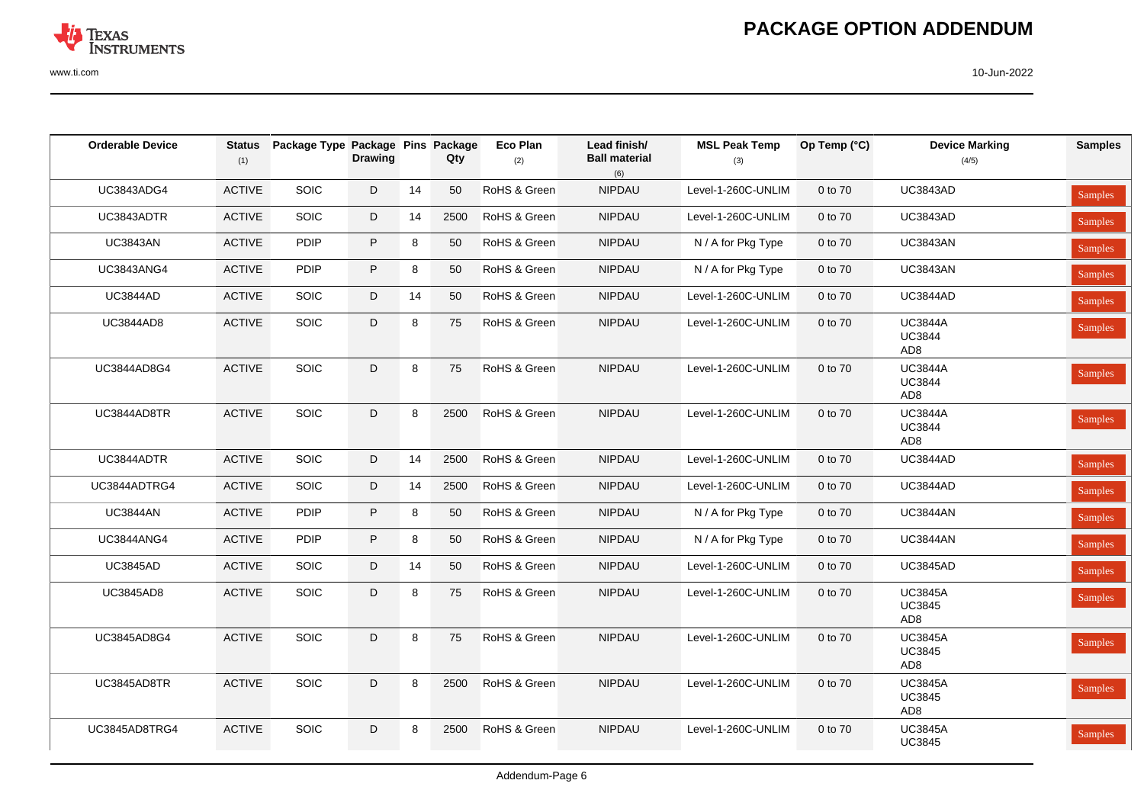# **PACKAGE OPTION ADDENDUM**

| <b>Orderable Device</b> | <b>Status</b><br>(1) | Package Type Package Pins Package | <b>Drawing</b> |    | Qty  | Eco Plan<br>(2) | Lead finish/<br><b>Ball material</b><br>(6) | <b>MSL Peak Temp</b><br>(3) | Op Temp (°C) | <b>Device Marking</b><br>(4/5)                     | <b>Samples</b> |
|-------------------------|----------------------|-----------------------------------|----------------|----|------|-----------------|---------------------------------------------|-----------------------------|--------------|----------------------------------------------------|----------------|
| <b>UC3843ADG4</b>       | <b>ACTIVE</b>        | <b>SOIC</b>                       | D              | 14 | 50   | RoHS & Green    | <b>NIPDAU</b>                               | Level-1-260C-UNLIM          | 0 to 70      | <b>UC3843AD</b>                                    | <b>Samples</b> |
| UC3843ADTR              | <b>ACTIVE</b>        | <b>SOIC</b>                       | D              | 14 | 2500 | RoHS & Green    | NIPDAU                                      | Level-1-260C-UNLIM          | 0 to 70      | <b>UC3843AD</b>                                    | Samples        |
| <b>UC3843AN</b>         | <b>ACTIVE</b>        | PDIP                              | P              | 8  | 50   | RoHS & Green    | NIPDAU                                      | N / A for Pkg Type          | 0 to 70      | <b>UC3843AN</b>                                    | <b>Samples</b> |
| <b>UC3843ANG4</b>       | <b>ACTIVE</b>        | <b>PDIP</b>                       | P              | 8  | 50   | RoHS & Green    | <b>NIPDAU</b>                               | N / A for Pkg Type          | 0 to 70      | <b>UC3843AN</b>                                    | Samples        |
| <b>UC3844AD</b>         | <b>ACTIVE</b>        | <b>SOIC</b>                       | D              | 14 | 50   | RoHS & Green    | <b>NIPDAU</b>                               | Level-1-260C-UNLIM          | 0 to 70      | <b>UC3844AD</b>                                    | Samples        |
| <b>UC3844AD8</b>        | <b>ACTIVE</b>        | <b>SOIC</b>                       | D              | 8  | 75   | RoHS & Green    | <b>NIPDAU</b>                               | Level-1-260C-UNLIM          | 0 to 70      | <b>UC3844A</b><br><b>UC3844</b><br>AD <sub>8</sub> | Samples        |
| UC3844AD8G4             | <b>ACTIVE</b>        | SOIC                              | D              | 8  | 75   | RoHS & Green    | <b>NIPDAU</b>                               | Level-1-260C-UNLIM          | 0 to 70      | <b>UC3844A</b><br><b>UC3844</b><br>AD <sub>8</sub> | Samples        |
| UC3844AD8TR             | <b>ACTIVE</b>        | SOIC                              | D              | 8  | 2500 | RoHS & Green    | NIPDAU                                      | Level-1-260C-UNLIM          | 0 to 70      | <b>UC3844A</b><br><b>UC3844</b><br>AD <sub>8</sub> | Samples        |
| UC3844ADTR              | <b>ACTIVE</b>        | <b>SOIC</b>                       | D              | 14 | 2500 | RoHS & Green    | NIPDAU                                      | Level-1-260C-UNLIM          | 0 to 70      | <b>UC3844AD</b>                                    | Samples        |
| UC3844ADTRG4            | <b>ACTIVE</b>        | SOIC                              | D              | 14 | 2500 | RoHS & Green    | NIPDAU                                      | Level-1-260C-UNLIM          | 0 to 70      | <b>UC3844AD</b>                                    | Samples        |
| <b>UC3844AN</b>         | <b>ACTIVE</b>        | <b>PDIP</b>                       | P              | 8  | 50   | RoHS & Green    | NIPDAU                                      | N / A for Pkg Type          | 0 to 70      | <b>UC3844AN</b>                                    | <b>Samples</b> |
| <b>UC3844ANG4</b>       | <b>ACTIVE</b>        | <b>PDIP</b>                       | P              | 8  | 50   | RoHS & Green    | <b>NIPDAU</b>                               | N / A for Pkg Type          | 0 to 70      | <b>UC3844AN</b>                                    | Samples        |
| <b>UC3845AD</b>         | <b>ACTIVE</b>        | <b>SOIC</b>                       | D              | 14 | 50   | RoHS & Green    | NIPDAU                                      | Level-1-260C-UNLIM          | 0 to 70      | <b>UC3845AD</b>                                    | Samples        |
| <b>UC3845AD8</b>        | <b>ACTIVE</b>        | <b>SOIC</b>                       | D              | 8  | 75   | RoHS & Green    | <b>NIPDAU</b>                               | Level-1-260C-UNLIM          | 0 to 70      | <b>UC3845A</b><br><b>UC3845</b><br>AD <sub>8</sub> | Samples        |
| UC3845AD8G4             | <b>ACTIVE</b>        | SOIC                              | D              | 8  | 75   | RoHS & Green    | NIPDAU                                      | Level-1-260C-UNLIM          | 0 to 70      | <b>UC3845A</b><br><b>UC3845</b><br>AD <sub>8</sub> | Samples        |
| UC3845AD8TR             | <b>ACTIVE</b>        | SOIC                              | D              | 8  | 2500 | RoHS & Green    | NIPDAU                                      | Level-1-260C-UNLIM          | 0 to 70      | <b>UC3845A</b><br><b>UC3845</b><br>AD <sub>8</sub> | Samples        |
| UC3845AD8TRG4           | <b>ACTIVE</b>        | SOIC                              | D              | 8  | 2500 | RoHS & Green    | <b>NIPDAU</b>                               | Level-1-260C-UNLIM          | 0 to 70      | <b>UC3845A</b><br><b>UC3845</b>                    | Samples        |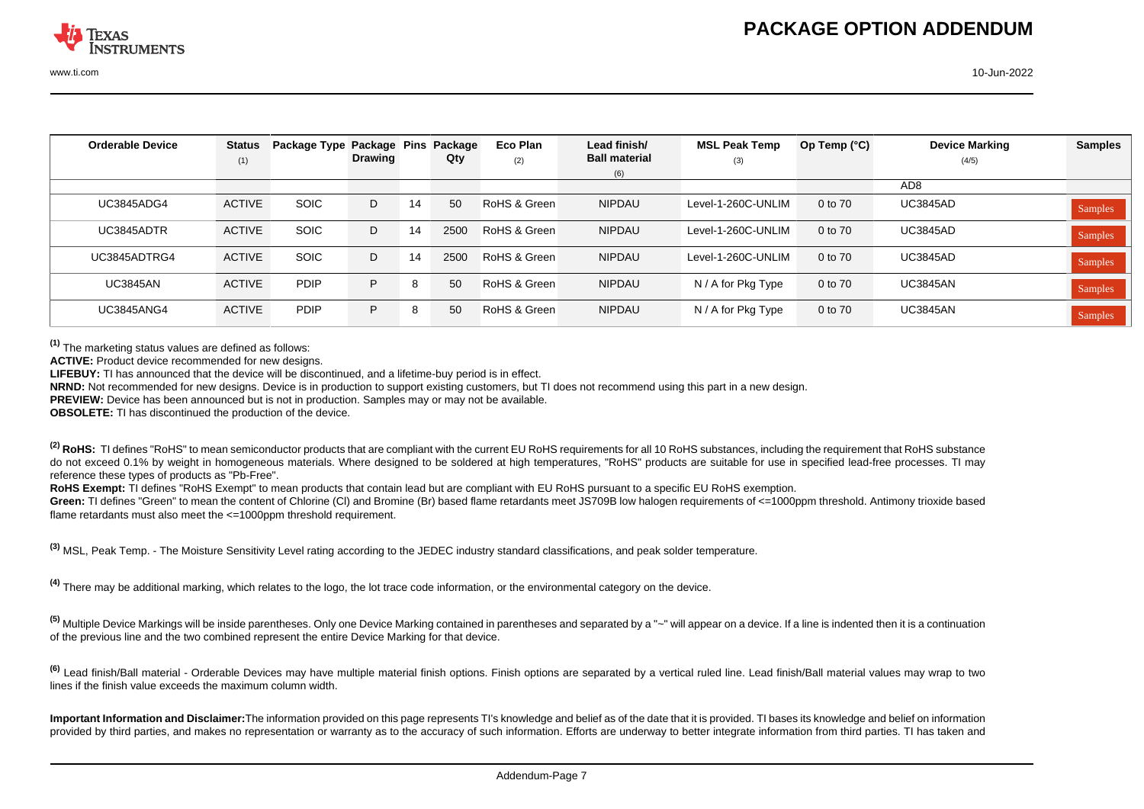| <b>Orderable Device</b> | <b>Status</b> | Package Type Package Pins |                |    | Package | Eco Plan     | Lead finish/         | <b>MSL Peak Temp</b> | Op Temp $(^{\circ}C)$ | <b>Device Marking</b> | <b>Samples</b> |
|-------------------------|---------------|---------------------------|----------------|----|---------|--------------|----------------------|----------------------|-----------------------|-----------------------|----------------|
|                         | (1)           |                           | <b>Drawing</b> |    | Qty     | (2)          | <b>Ball material</b> | (3)                  |                       | (4/5)                 |                |
|                         |               |                           |                |    |         |              | (6)                  |                      |                       |                       |                |
|                         |               |                           |                |    |         |              |                      |                      |                       | AD <sub>8</sub>       |                |
| <b>UC3845ADG4</b>       | <b>ACTIVE</b> | <b>SOIC</b>               | D              | 14 | 50      | RoHS & Green | <b>NIPDAU</b>        | Level-1-260C-UNLIM   | 0 to 70               | <b>UC3845AD</b>       | Samples        |
| UC3845ADTR              | <b>ACTIVE</b> | <b>SOIC</b>               | D              | 14 | 2500    | RoHS & Green | <b>NIPDAU</b>        | Level-1-260C-UNLIM   | 0 to 70               | <b>UC3845AD</b>       | Samples        |
| UC3845ADTRG4            | <b>ACTIVE</b> | <b>SOIC</b>               | D              | 14 | 2500    | RoHS & Green | <b>NIPDAU</b>        | Level-1-260C-UNLIM   | 0 to 70               | <b>UC3845AD</b>       | Samples        |
| <b>UC3845AN</b>         | <b>ACTIVE</b> | <b>PDIP</b>               | P              | 8  | 50      | RoHS & Green | <b>NIPDAU</b>        | N / A for Pkg Type   | 0 to 70               | <b>UC3845AN</b>       | Samples        |
| <b>UC3845ANG4</b>       | <b>ACTIVE</b> | <b>PDIP</b>               | P              | 8  | 50      | RoHS & Green | <b>NIPDAU</b>        | N / A for Pkg Type   | 0 to 70               | <b>UC3845AN</b>       | Samples        |

**(1)** The marketing status values are defined as follows:

ACTIVE: Product device recommended for new designs.

**LIFEBUY:** TI has announced that the device will be discontinued, and a lifetime-buy period is in effect.

**NRND:** Not recommended for new designs. Device is in production to support existing customers, but TI does not recommend using this part in a new design.

**PREVIEW:** Device has been announced but is not in production. Samples may or may not be available.

**OBSOLETE:** TI has discontinued the production of the device.

<sup>(2)</sup> RoHS: TI defines "RoHS" to mean semiconductor products that are compliant with the current EU RoHS requirements for all 10 RoHS substances, including the requirement that RoHS substance do not exceed 0.1% by weight in homogeneous materials. Where designed to be soldered at high temperatures, "RoHS" products are suitable for use in specified lead-free processes. TI may reference these types of products as "Pb-Free".

RoHS Exempt: TI defines "RoHS Exempt" to mean products that contain lead but are compliant with EU RoHS pursuant to a specific EU RoHS exemption.

Green: TI defines "Green" to mean the content of Chlorine (CI) and Bromine (Br) based flame retardants meet JS709B low halogen requirements of <=1000ppm threshold. Antimony trioxide based flame retardants must also meet the <=1000ppm threshold requirement.

**(3)** MSL, Peak Temp. - The Moisture Sensitivity Level rating according to the JEDEC industry standard classifications, and peak solder temperature.

**(4)** There may be additional marking, which relates to the logo, the lot trace code information, or the environmental category on the device.

**(5)** Multiple Device Markings will be inside parentheses. Only one Device Marking contained in parentheses and separated by a "~" will appear on a device. If a line is indented then it is a continuation of the previous line and the two combined represent the entire Device Marking for that device.

**(6)** Lead finish/Ball material - Orderable Devices may have multiple material finish options. Finish options are separated by a vertical ruled line. Lead finish/Ball material values may wrap to two lines if the finish value exceeds the maximum column width.

**Important Information and Disclaimer:**The information provided on this page represents TI's knowledge and belief as of the date that it is provided. TI bases its knowledge and belief on information provided by third parties, and makes no representation or warranty as to the accuracy of such information. Efforts are underway to better integrate information from third parties. TI has taken and